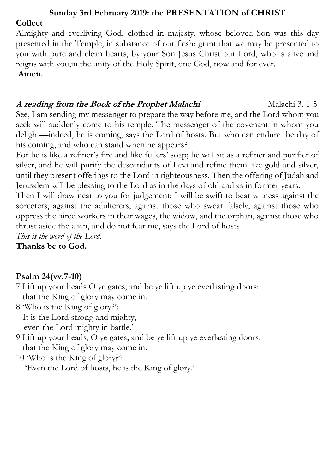#### **Sunday 3rd February 2019: the PRESENTATION of CHRIST**

#### **Collect**

Almighty and everliving God, clothed in majesty, whose beloved Son was this day presented in the Temple, in substance of our flesh: grant that we may be presented to you with pure and clean hearts, by your Son Jesus Christ our Lord, who is alive and reigns with you,in the unity of the Holy Spirit, one God, now and for ever. **Amen.**

#### A reading from the Book of the Prophet Malachi **Malachi** Malachi 3. 1-5

See, I am sending my messenger to prepare the way before me, and the Lord whom you seek will suddenly come to his temple. The messenger of the covenant in whom you delight—indeed, he is coming, says the Lord of hosts. But who can endure the day of his coming, and who can stand when he appears?

For he is like a refiner's fire and like fullers' soap; he will sit as a refiner and purifier of silver, and he will purify the descendants of Levi and refine them like gold and silver, until they present offerings to the Lord in righteousness. Then the offering of Judah and Jerusalem will be pleasing to the Lord as in the days of old and as in former years.

Then I will draw near to you for judgement; I will be swift to bear witness against the sorcerers, against the adulterers, against those who swear falsely, against those who oppress the hired workers in their wages, the widow, and the orphan, against those who thrust aside the alien, and do not fear me, says the Lord of hosts

*This is the word of the Lord.*

**Thanks be to God.**

## **Psalm 24(vv.7-10)**

7 Lift up your heads O ye gates; and be ye lift up ye everlasting doors: that the King of glory may come in.

8 'Who is the King of glory?': It is the Lord strong and mighty, even the Lord mighty in battle.'

9 Lift up your heads, O ye gates; and be ye lift up ye everlasting doors: that the King of glory may come in.

10 'Who is the King of glory?':

'Even the Lord of hosts, he is the King of glory.'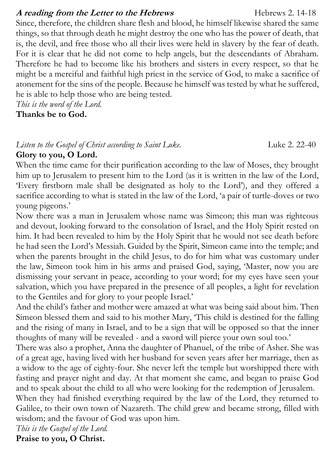#### A reading from the Letter to the Hebrews Tebrews 2. 14-18

Since, therefore, the children share flesh and blood, he himself likewise shared the same things, so that through death he might destroy the one who has the power of death, that is, the devil, and free those who all their lives were held in slavery by the fear of death. For it is clear that he did not come to help angels, but the descendants of Abraham. Therefore he had to become like his brothers and sisters in every respect, so that he might be a merciful and faithful high priest in the service of God, to make a sacrifice of atonement for the sins of the people. Because he himself was tested by what he suffered, he is able to help those who are being tested.

*This is the word of the Lord.*

**Thanks be to God.**

#### *Listen to the Gospel of Christ according to Saint Luke.* **Luke 2. 22-40**

#### **Glory to you, O Lord.**

When the time came for their purification according to the law of Moses, they brought him up to Jerusalem to present him to the Lord (as it is written in the law of the Lord, 'Every firstborn male shall be designated as holy to the Lord'), and they offered a sacrifice according to what is stated in the law of the Lord, 'a pair of turtle-doves or two young pigeons.'

Now there was a man in Jerusalem whose name was Simeon; this man was righteous and devout, looking forward to the consolation of Israel, and the Holy Spirit rested on him. It had been revealed to him by the Holy Spirit that he would not see death before he had seen the Lord's Messiah. Guided by the Spirit, Simeon came into the temple; and when the parents brought in the child Jesus, to do for him what was customary under the law, Simeon took him in his arms and praised God, saying, 'Master, now you are dismissing your servant in peace, according to your word; for my eyes have seen your salvation, which you have prepared in the presence of all peoples, a light for revelation to the Gentiles and for glory to your people Israel.'

And the child's father and mother were amazed at what was being said about him. Then Simeon blessed them and said to his mother Mary, 'This child is destined for the falling and the rising of many in Israel, and to be a sign that will be opposed so that the inner thoughts of many will be revealed - and a sword will pierce your own soul too.'

There was also a prophet, Anna the daughter of Phanuel, of the tribe of Asher. She was of a great age, having lived with her husband for seven years after her marriage, then as a widow to the age of eighty-four. She never left the temple but worshipped there with fasting and prayer night and day. At that moment she came, and began to praise God and to speak about the child to all who were looking for the redemption of Jerusalem.

When they had finished everything required by the law of the Lord, they returned to Galilee, to their own town of Nazareth. The child grew and became strong, filled with wisdom; and the favour of God was upon him.

*This is the Gospel of the Lord.* **Praise to you, O Christ.**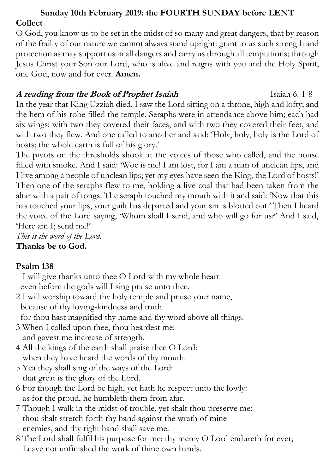## **Sunday 10th February 2019: the FOURTH SUNDAY before LENT Collect**

O God, you know us to be set in the midst of so many and great dangers, that by reason of the frailty of our nature we cannot always stand upright: grant to us such strength and protection as may support us in all dangers and carry us through all temptations; through Jesus Christ your Son our Lord, who is alive and reigns with you and the Holy Spirit, one God, now and for ever. **Amen.**

### **A reading from the Book of Prophet Isaiah** Isaiah 6. 1-8

In the year that King Uzziah died, I saw the Lord sitting on a throne, high and lofty; and the hem of his robe filled the temple. Seraphs were in attendance above him; each had six wings: with two they covered their faces, and with two they covered their feet, and with two they flew. And one called to another and said: 'Holy, holy, holy is the Lord of hosts; the whole earth is full of his glory.'

The pivots on the thresholds shook at the voices of those who called, and the house filled with smoke. And I said: 'Woe is me! I am lost, for I am a man of unclean lips, and I live among a people of unclean lips; yet my eyes have seen the King, the Lord of hosts!' Then one of the seraphs flew to me, holding a live coal that had been taken from the altar with a pair of tongs. The seraph touched my mouth with it and said: 'Now that this has touched your lips, your guilt has departed and your sin is blotted out.' Then I heard the voice of the Lord saying, 'Whom shall I send, and who will go for us?' And I said, 'Here am I; send me!'

*This is the word of the Lord.*

**Thanks be to God.**

## **Psalm 138**

1 I will give thanks unto thee O Lord with my whole heart even before the gods will I sing praise unto thee.

- 2 I will worship toward thy holy temple and praise your name, because of thy loving-kindness and truth. for thou hast magnified thy name and thy word above all things.
- 3 When I called upon thee, thou heardest me: and gavest me increase of strength.
- 4 All the kings of the earth shall praise thee O Lord: when they have heard the words of thy mouth.
- 5 Yea they shall sing of the ways of the Lord: that great is the glory of the Lord.
- 6 For though the Lord be high, yet hath he respect unto the lowly: as for the proud, he humbleth them from afar.
- 7 Though I walk in the midst of trouble, yet shalt thou preserve me: thou shalt stretch forth thy hand against the wrath of mine enemies, and thy right hand shall save me.
- 8 The Lord shall fulfil his purpose for me: thy mercy O Lord endureth for ever; Leave not unfinished the work of thine own hands.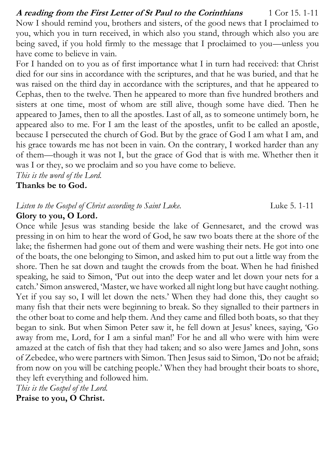**A reading from the First Letter of St Paul to the Corinthians** 1 Cor 15. 1-11 Now I should remind you, brothers and sisters, of the good news that I proclaimed to you, which you in turn received, in which also you stand, through which also you are being saved, if you hold firmly to the message that I proclaimed to you—unless you have come to believe in vain.

For I handed on to you as of first importance what I in turn had received: that Christ died for our sins in accordance with the scriptures, and that he was buried, and that he was raised on the third day in accordance with the scriptures, and that he appeared to Cephas, then to the twelve. Then he appeared to more than five hundred brothers and sisters at one time, most of whom are still alive, though some have died. Then he appeared to James, then to all the apostles. Last of all, as to someone untimely born, he appeared also to me. For I am the least of the apostles, unfit to be called an apostle, because I persecuted the church of God. But by the grace of God I am what I am, and his grace towards me has not been in vain. On the contrary, I worked harder than any of them—though it was not I, but the grace of God that is with me. Whether then it was I or they, so we proclaim and so you have come to believe.

*This is the word of the Lord.*

**Thanks be to God.**

## *Listen to the Gospel of Christ according to Saint Luke.* Luke 5. 1-11

## **Glory to you, O Lord.**

Once while Jesus was standing beside the lake of Gennesaret, and the crowd was pressing in on him to hear the word of God, he saw two boats there at the shore of the lake; the fishermen had gone out of them and were washing their nets. He got into one of the boats, the one belonging to Simon, and asked him to put out a little way from the shore. Then he sat down and taught the crowds from the boat. When he had finished speaking, he said to Simon, 'Put out into the deep water and let down your nets for a catch.' Simon answered, 'Master, we have worked all night long but have caught nothing. Yet if you say so, I will let down the nets.' When they had done this, they caught so many fish that their nets were beginning to break. So they signalled to their partners in the other boat to come and help them. And they came and filled both boats, so that they began to sink. But when Simon Peter saw it, he fell down at Jesus' knees, saying, 'Go away from me, Lord, for I am a sinful man!' For he and all who were with him were amazed at the catch of fish that they had taken; and so also were James and John, sons of Zebedee, who were partners with Simon. Then Jesus said to Simon, 'Do not be afraid; from now on you will be catching people.' When they had brought their boats to shore, they left everything and followed him.

*This is the Gospel of the Lord.*

**Praise to you, O Christ.**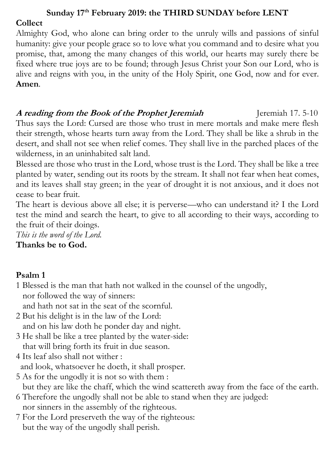# **Sunday 17th February 2019: the THIRD SUNDAY before LENT**

## **Collect**

Almighty God, who alone can bring order to the unruly wills and passions of sinful humanity: give your people grace so to love what you command and to desire what you promise, that, among the many changes of this world, our hearts may surely there be fixed where true joys are to be found; through Jesus Christ your Son our Lord, who is alive and reigns with you, in the unity of the Holy Spirit, one God, now and for ever. **Amen**.

**A reading from the Book of the Prophet Jeremiah 17.5-10** Jeremiah 17.5-10 Thus says the Lord: Cursed are those who trust in mere mortals and make mere flesh their strength, whose hearts turn away from the Lord. They shall be like a shrub in the desert, and shall not see when relief comes. They shall live in the parched places of the wilderness, in an uninhabited salt land.

Blessed are those who trust in the Lord, whose trust is the Lord. They shall be like a tree planted by water, sending out its roots by the stream. It shall not fear when heat comes, and its leaves shall stay green; in the year of drought it is not anxious, and it does not cease to bear fruit.

The heart is devious above all else; it is perverse—who can understand it? I the Lord test the mind and search the heart, to give to all according to their ways, according to the fruit of their doings.

*This is the word of the Lord.* **Thanks be to God.**

# **Psalm 1**

- 1 Blessed is the man that hath not walked in the counsel of the ungodly, nor followed the way of sinners: and hath not sat in the seat of the scornful.
- 2 But his delight is in the law of the Lord: and on his law doth he ponder day and night.
- 3 He shall be like a tree planted by the water-side: that will bring forth its fruit in due season.
- 4 Its leaf also shall not wither : and look, whatsoever he doeth, it shall prosper.
- 5 As for the ungodly it is not so with them : but they are like the chaff, which the wind scattereth away from the face of the earth.
- 6 Therefore the ungodly shall not be able to stand when they are judged: nor sinners in the assembly of the righteous.
- 7 For the Lord preserveth the way of the righteous: but the way of the ungodly shall perish.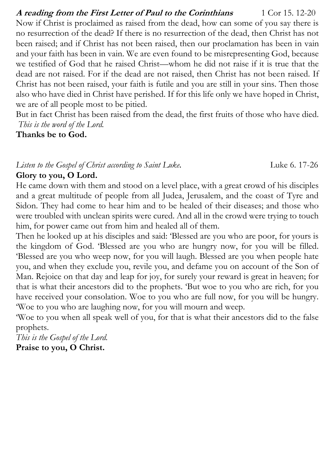#### **A reading from the First Letter of Paul to the Corinthians** 1 Cor 15. 12-20

Now if Christ is proclaimed as raised from the dead, how can some of you say there is no resurrection of the dead? If there is no resurrection of the dead, then Christ has not been raised; and if Christ has not been raised, then our proclamation has been in vain and your faith has been in vain. We are even found to be misrepresenting God, because we testified of God that he raised Christ—whom he did not raise if it is true that the dead are not raised. For if the dead are not raised, then Christ has not been raised. If Christ has not been raised, your faith is futile and you are still in your sins. Then those also who have died in Christ have perished. If for this life only we have hoped in Christ, we are of all people most to be pitied.

But in fact Christ has been raised from the dead, the first fruits of those who have died. *This is the word of the Lord.*

**Thanks be to God.**

*Listen to the Gospel of Christ according to Saint Luke*. Luke 6. 17-26

## **Glory to you, O Lord.**

He came down with them and stood on a level place, with a great crowd of his disciples and a great multitude of people from all Judea, Jerusalem, and the coast of Tyre and Sidon. They had come to hear him and to be healed of their diseases; and those who were troubled with unclean spirits were cured. And all in the crowd were trying to touch him, for power came out from him and healed all of them.

Then he looked up at his disciples and said: 'Blessed are you who are poor, for yours is the kingdom of God. 'Blessed are you who are hungry now, for you will be filled. 'Blessed are you who weep now, for you will laugh. Blessed are you when people hate you, and when they exclude you, revile you, and defame you on account of the Son of Man. Rejoice on that day and leap for joy, for surely your reward is great in heaven; for that is what their ancestors did to the prophets. 'But woe to you who are rich, for you have received your consolation. Woe to you who are full now, for you will be hungry. 'Woe to you who are laughing now, for you will mourn and weep.

'Woe to you when all speak well of you, for that is what their ancestors did to the false prophets.

*This is the Gospel of the Lord.* **Praise to you, O Christ.**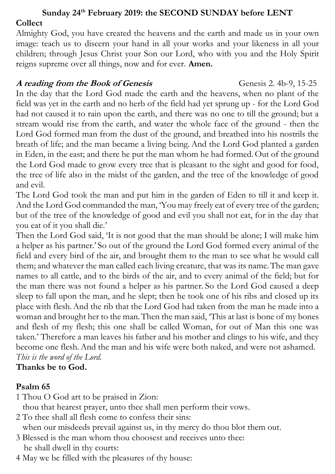### **Sunday 24 th February 2019: the SECOND SUNDAY before LENT Collect**

Almighty God, you have created the heavens and the earth and made us in your own image: teach us to discern your hand in all your works and your likeness in all your children; through Jesus Christ your Son our Lord, who with you and the Holy Spirit reigns supreme over all things, now and for ever. **Amen.**

## A reading from the Book of Genesis **Genesis** Genesis 2. 4b-9, 15-25

In the day that the Lord God made the earth and the heavens, when no plant of the field was yet in the earth and no herb of the field had yet sprung up - for the Lord God had not caused it to rain upon the earth, and there was no one to till the ground; but a stream would rise from the earth, and water the whole face of the ground - then the Lord God formed man from the dust of the ground, and breathed into his nostrils the breath of life; and the man became a living being. And the Lord God planted a garden in Eden, in the east; and there he put the man whom he had formed. Out of the ground the Lord God made to grow every tree that is pleasant to the sight and good for food, the tree of life also in the midst of the garden, and the tree of the knowledge of good and evil.

The Lord God took the man and put him in the garden of Eden to till it and keep it. And the Lord God commanded the man, 'You may freely eat of every tree of the garden; but of the tree of the knowledge of good and evil you shall not eat, for in the day that you eat of it you shall die.'

Then the Lord God said, 'It is not good that the man should be alone; I will make him a helper as his partner.' So out of the ground the Lord God formed every animal of the field and every bird of the air, and brought them to the man to see what he would call them; and whatever the man called each living creature, that was its name.The man gave names to all cattle, and to the birds of the air, and to every animal of the field; but for the man there was not found a helper as his partner. So the Lord God caused a deep sleep to fall upon the man, and he slept; then he took one of his ribs and closed up its place with flesh.And the rib that the Lord God had taken from the man he made into a woman and brought her to the man.Then the man said, 'This at last is bone of my bones and flesh of my flesh; this one shall be called Woman, for out of Man this one was taken.' Therefore a man leaves his father and his mother and clings to his wife, and they become one flesh.And the man and his wife were both naked, and were not ashamed. *This is the word of the Lord.*

#### **Thanks be to God.**

## **Psalm 65**

- 1 Thou O God art to be praised in Zion: thou that hearest prayer, unto thee shall men perform their vows.
- 2 To thee shall all flesh come to confess their sins:

when our misdeeds prevail against us, in thy mercy do thou blot them out.

- 3 Blessed is the man whom thou choosest and receives unto thee: he shall dwell in thy courts:
- 4 May we be filled with the pleasures of thy house: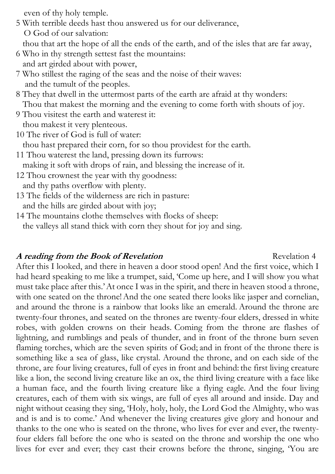even of thy holy temple.

5 With terrible deeds hast thou answered us for our deliverance, O God of our salvation:

thou that art the hope of all the ends of the earth, and of the isles that are far away,

- 6 Who in thy strength settest fast the mountains: and art girded about with power,
- 7 Who stillest the raging of the seas and the noise of their waves: and the tumult of the peoples.
- 8 They that dwell in the uttermost parts of the earth are afraid at thy wonders: Thou that makest the morning and the evening to come forth with shouts of joy.
- 9 Thou visitest the earth and waterest it: thou makest it very plenteous.
- 10 The river of God is full of water:

thou hast prepared their corn, for so thou providest for the earth.

- 11 Thou waterest the land, pressing down its furrows: making it soft with drops of rain, and blessing the increase of it.
- 12 Thou crownest the year with thy goodness:

and thy paths overflow with plenty.

- 13 The fields of the wilderness are rich in pasture: and the hills are girded about with joy;
- 14 The mountains clothe themselves with flocks of sheep: the valleys all stand thick with corn they shout for joy and sing.

## **A reading from the Book of Revelation** Revelation 4

After this I looked, and there in heaven a door stood open! And the first voice, which I had heard speaking to me like a trumpet, said, 'Come up here, and I will show you what must take place after this.'At once I was in the spirit, and there in heaven stood a throne, with one seated on the throne! And the one seated there looks like jasper and cornelian, and around the throne is a rainbow that looks like an emerald. Around the throne are twenty-four thrones, and seated on the thrones are twenty-four elders, dressed in white robes, with golden crowns on their heads. Coming from the throne are flashes of lightning, and rumblings and peals of thunder, and in front of the throne burn seven flaming torches, which are the seven spirits of God; and in front of the throne there is something like a sea of glass, like crystal. Around the throne, and on each side of the throne, are four living creatures, full of eyes in front and behind: the first living creature like a lion, the second living creature like an ox, the third living creature with a face like a human face, and the fourth living creature like a flying eagle. And the four living creatures, each of them with six wings, are full of eyes all around and inside. Day and night without ceasing they sing, 'Holy, holy, holy, the Lord God the Almighty, who was and is and is to come.' And whenever the living creatures give glory and honour and thanks to the one who is seated on the throne, who lives for ever and ever, the twentyfour elders fall before the one who is seated on the throne and worship the one who lives for ever and ever; they cast their crowns before the throne, singing, 'You are